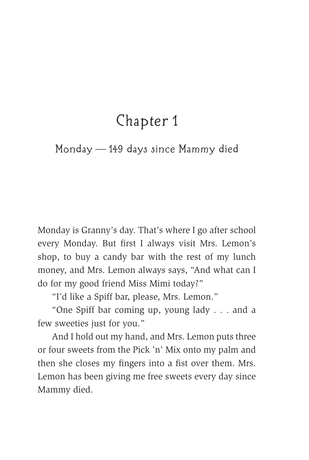# Chapter 1

#### Monday — 149 days since Mammy died

Monday is Granny's day. That's where I go after school every Monday. But first I always visit Mrs. Lemon's shop, to buy a candy bar with the rest of my lunch money, and Mrs. Lemon always says, "And what can I do for my good friend Miss Mimi today?"

"I'd like a Spiff bar, please, Mrs. Lemon."

"One Spiff bar coming up, young lady . . . and a few sweeties just for you."

And I hold out my hand, and Mrs. Lemon puts three or four sweets from the Pick 'n' Mix onto my palm and then she closes my fingers into a fist over them. Mrs. Lemon has been giving me free sweets every day since Mammy died.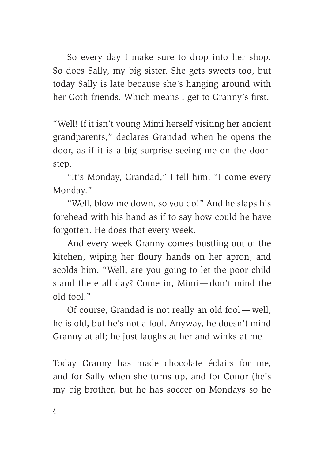So every day I make sure to drop into her shop. So does Sally, my big sister. She gets sweets too, but today Sally is late because she's hanging around with her Goth friends. Which means I get to Granny's first.

"Well! If it isn't young Mimi herself visiting her ancient grandparents," declares Grandad when he opens the door, as if it is a big surprise seeing me on the doorstep.

"It's Monday, Grandad," I tell him. "I come every Monday."

"Well, blow me down, so you do!" And he slaps his forehead with his hand as if to say how could he have forgotten. He does that every week.

And every week Granny comes bustling out of the kitchen, wiping her floury hands on her apron, and scolds him. "Well, are you going to let the poor child stand there all day? Come in, Mimi—don't mind the old fool."

Of course, Grandad is not really an old fool—well, he is old, but he's not a fool. Anyway, he doesn't mind Granny at all; he just laughs at her and winks at me.

Today Granny has made chocolate éclairs for me, and for Sally when she turns up, and for Conor (he's my big brother, but he has soccer on Mondays so he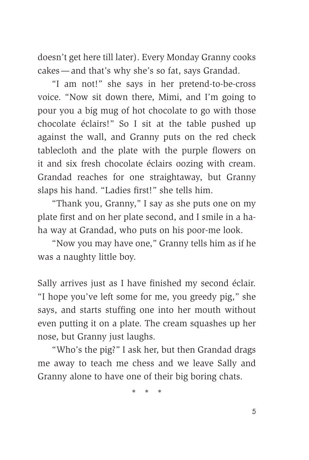doesn't get here till later). Every Monday Granny cooks cakes—and that's why she's so fat, says Grandad.

"I am not!" she says in her pretend-to-be-cross voice. "Now sit down there, Mimi, and I'm going to pour you a big mug of hot chocolate to go with those chocolate éclairs!" So I sit at the table pushed up against the wall, and Granny puts on the red check tablecloth and the plate with the purple flowers on it and six fresh chocolate éclairs oozing with cream. Grandad reaches for one straightaway, but Granny slaps his hand. "Ladies first!" she tells him.

"Thank you, Granny," I say as she puts one on my plate first and on her plate second, and I smile in a haha way at Grandad, who puts on his poor-me look.

"Now you may have one," Granny tells him as if he was a naughty little boy.

Sally arrives just as I have finished my second éclair. "I hope you've left some for me, you greedy pig," she says, and starts stuffing one into her mouth without even putting it on a plate. The cream squashes up her nose, but Granny just laughs.

"Who's the pig?" I ask her, but then Grandad drags me away to teach me chess and we leave Sally and Granny alone to have one of their big boring chats.

\* \* \*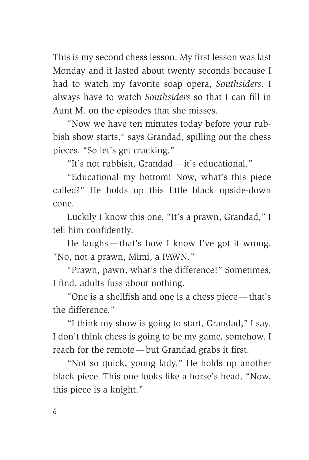This is my second chess lesson. My first lesson was last Monday and it lasted about twenty seconds because I had to watch my favorite soap opera, *Southsiders*. I always have to watch *Southsiders* so that I can fill in Aunt M. on the episodes that she misses.

"Now we have ten minutes today before your rubbish show starts," says Grandad, spilling out the chess pieces. "So let's get cracking."

"It's not rubbish, Grandad—it's educational."

"Educational my bottom! Now, what's this piece called?" He holds up this little black upside-down cone.

Luckily I know this one. "It's a prawn, Grandad," I tell him confidently.

He laughs—that's how I know I've got it wrong. "No, not a prawn, Mimi, a PAWN."

"Prawn, pawn, what's the difference!" Sometimes, I find, adults fuss about nothing.

"One is a shellfish and one is a chess piece—that's the difference."

"I think my show is going to start, Grandad," I say. I don't think chess is going to be my game, somehow. I reach for the remote—but Grandad grabs it first.

"Not so quick, young lady." He holds up another black piece. This one looks like a horse's head. "Now, this piece is a knight."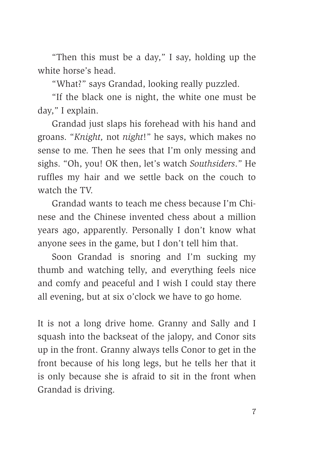"Then this must be a day," I say, holding up the white horse's head.

"What?" says Grandad, looking really puzzled.

"If the black one is night, the white one must be day," I explain.

Grandad just slaps his forehead with his hand and groans. "*Knight,* not *night*!" he says, which makes no sense to me. Then he sees that I'm only messing and sighs. "Oh, you! OK then, let's watch *Southsiders*." He ruffles my hair and we settle back on the couch to watch the TV

Grandad wants to teach me chess because I'm Chinese and the Chinese invented chess about a million years ago, apparently. Personally I don't know what anyone sees in the game, but I don't tell him that.

Soon Grandad is snoring and I'm sucking my thumb and watching telly, and everything feels nice and comfy and peaceful and I wish I could stay there all evening, but at six o'clock we have to go home.

It is not a long drive home. Granny and Sally and I squash into the backseat of the jalopy, and Conor sits up in the front. Granny always tells Conor to get in the front because of his long legs, but he tells her that it is only because she is afraid to sit in the front when Grandad is driving.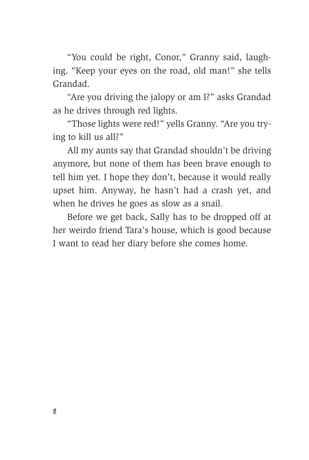"You could be right, Conor," Granny said, laughing. "Keep your eyes on the road, old man!" she tells Grandad.

"Are you driving the jalopy or am I?" asks Grandad as he drives through red lights.

"Those lights were red!" yells Granny. "Are you trying to kill us all?"

All my aunts say that Grandad shouldn't be driving anymore, but none of them has been brave enough to tell him yet. I hope they don't, because it would really upset him. Anyway, he hasn't had a crash yet, and when he drives he goes as slow as a snail.

Before we get back, Sally has to be dropped off at her weirdo friend Tara's house, which is good because I want to read her diary before she comes home.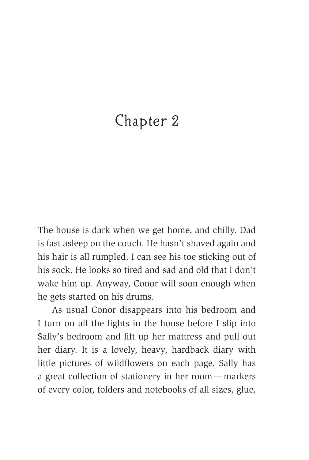# Chapter 2

The house is dark when we get home, and chilly. Dad is fast asleep on the couch. He hasn't shaved again and his hair is all rumpled. I can see his toe sticking out of his sock. He looks so tired and sad and old that I don't wake him up. Anyway, Conor will soon enough when he gets started on his drums.

As usual Conor disappears into his bedroom and I turn on all the lights in the house before I slip into Sally's bedroom and lift up her mattress and pull out her diary. It is a lovely, heavy, hardback diary with little pictures of wildflowers on each page. Sally has a great collection of stationery in her room— markers of every color, folders and notebooks of all sizes, glue,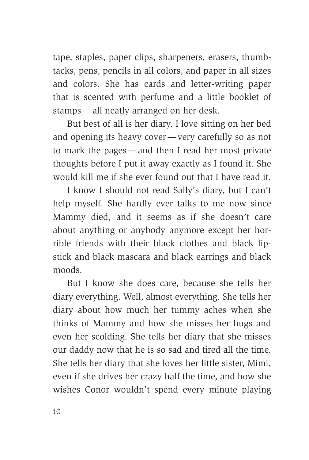tape, staples, paper clips, sharpeners, erasers, thumbtacks, pens, pencils in all colors, and paper in all sizes and colors. She has cards and letter-writing paper that is scented with perfume and a little booklet of stamps—all neatly arranged on her desk.

But best of all is her diary. I love sitting on her bed and opening its heavy cover—very carefully so as not to mark the pages—and then I read her most private thoughts before I put it away exactly as I found it. She would kill me if she ever found out that I have read it.

I know I should not read Sally's diary, but I can't help myself. She hardly ever talks to me now since Mammy died, and it seems as if she doesn't care about anything or anybody anymore except her horrible friends with their black clothes and black lipstick and black mascara and black earrings and black moods.

But I know she does care, because she tells her diary everything. Well, almost everything. She tells her diary about how much her tummy aches when she thinks of Mammy and how she misses her hugs and even her scolding. She tells her diary that she misses our daddy now that he is so sad and tired all the time. She tells her diary that she loves her little sister, Mimi, even if she drives her crazy half the time, and how she wishes Conor wouldn't spend every minute playing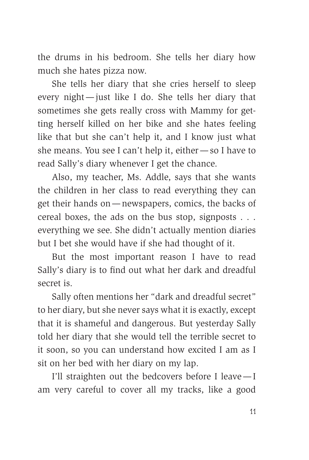the drums in his bedroom. She tells her diary how much she hates pizza now.

She tells her diary that she cries herself to sleep every night—just like I do. She tells her diary that sometimes she gets really cross with Mammy for getting herself killed on her bike and she hates feeling like that but she can't help it, and I know just what she means. You see I can't help it, either—so I have to read Sally's diary whenever I get the chance.

Also, my teacher, Ms. Addle, says that she wants the children in her class to read everything they can get their hands on—newspapers, comics, the backs of cereal boxes, the ads on the bus stop, signposts . . . everything we see. She didn't actually mention diaries but I bet she would have if she had thought of it.

But the most important reason I have to read Sally's diary is to find out what her dark and dreadful secret is.

Sally often mentions her "dark and dreadful secret" to her diary, but she never says what it is exactly, except that it is shameful and dangerous. But yesterday Sally told her diary that she would tell the terrible secret to it soon, so you can understand how excited I am as I sit on her bed with her diary on my lap.

I'll straighten out the bedcovers before I leave—I am very careful to cover all my tracks, like a good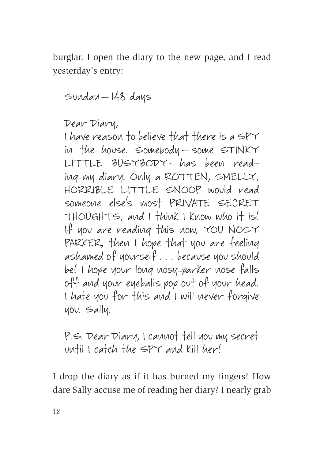burglar. I open the diary to the new page, and I read yesterday's entry:

 $Sundau - 148$  days

Dear Diary,

I have reason to believe that there is a spy in the house. Somebody—some stINKY little busybody — has been reading my diary. Only a rotten, smelly, horrible little SNOOP would read someone else's most private secret thoughts, and I think I know who it is! If you are reading this now, YOU NOSY parker, then I hope that you are feeling ashamed of yourself . . . because you should be! I hope your long nosy-parker nose falls off and your eyeballs pop out of your head. I hate you for this and I will never forgive you. Sally.

P.S. Dear Diary, I cannot tell you my secret until I catch the spy and kill her!

I drop the diary as if it has burned my fingers! How dare Sally accuse me of reading her diary? I nearly grab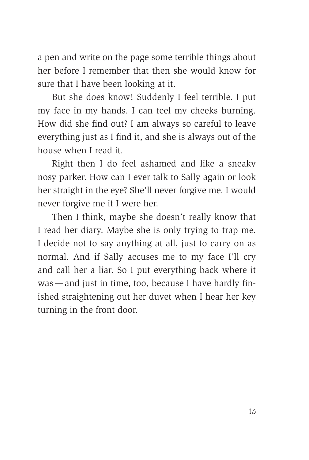a pen and write on the page some terrible things about her before I remember that then she would know for sure that I have been looking at it.

But she does know! Suddenly I feel terrible. I put my face in my hands. I can feel my cheeks burning. How did she find out? I am always so careful to leave everything just as I find it, and she is always out of the house when I read it.

Right then I do feel ashamed and like a sneaky nosy parker. How can I ever talk to Sally again or look her straight in the eye? She'll never forgive me. I would never forgive me if I were her.

Then I think, maybe she doesn't really know that I read her diary. Maybe she is only trying to trap me. I decide not to say anything at all, just to carry on as normal. And if Sally accuses me to my face I'll cry and call her a liar. So I put everything back where it was—and just in time, too, because I have hardly finished straightening out her duvet when I hear her key turning in the front door.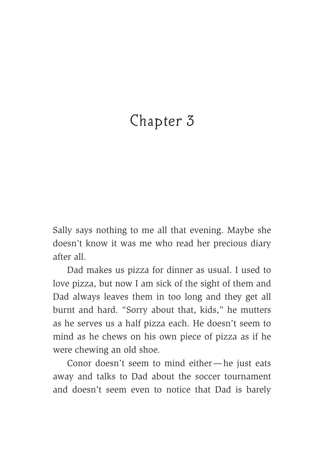# Chapter 3

Sally says nothing to me all that evening. Maybe she doesn't know it was me who read her precious diary after all.

Dad makes us pizza for dinner as usual. I used to love pizza, but now I am sick of the sight of them and Dad always leaves them in too long and they get all burnt and hard. "Sorry about that, kids," he mutters as he serves us a half pizza each. He doesn't seem to mind as he chews on his own piece of pizza as if he were chewing an old shoe.

Conor doesn't seem to mind either—he just eats away and talks to Dad about the soccer tournament and doesn't seem even to notice that Dad is barely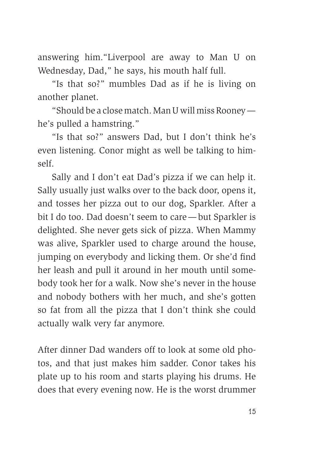answering him."Liverpool are away to Man U on Wednesday, Dad," he says, his mouth half full.

"Is that so?" mumbles Dad as if he is living on another planet.

"Should be a close match. Man U will miss Rooney he's pulled a hamstring."

"Is that so?" answers Dad, but I don't think he's even listening. Conor might as well be talking to himself.

Sally and I don't eat Dad's pizza if we can help it. Sally usually just walks over to the back door, opens it, and tosses her pizza out to our dog, Sparkler. After a bit I do too. Dad doesn't seem to care—but Sparkler is delighted. She never gets sick of pizza. When Mammy was alive, Sparkler used to charge around the house, jumping on everybody and licking them. Or she'd find her leash and pull it around in her mouth until somebody took her for a walk. Now she's never in the house and nobody bothers with her much, and she's gotten so fat from all the pizza that I don't think she could actually walk very far anymore.

After dinner Dad wanders off to look at some old photos, and that just makes him sadder. Conor takes his plate up to his room and starts playing his drums. He does that every evening now. He is the worst drummer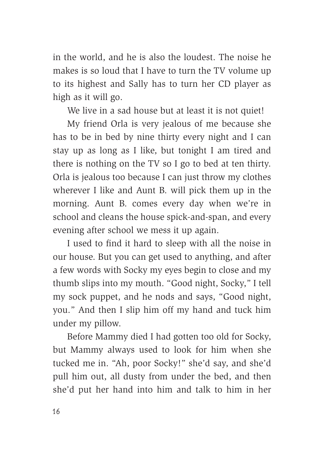in the world, and he is also the loudest. The noise he makes is so loud that I have to turn the TV volume up to its highest and Sally has to turn her CD player as high as it will go.

We live in a sad house but at least it is not quiet!

My friend Orla is very jealous of me because she has to be in bed by nine thirty every night and I can stay up as long as I like, but tonight I am tired and there is nothing on the TV so I go to bed at ten thirty. Orla is jealous too because I can just throw my clothes wherever I like and Aunt B. will pick them up in the morning. Aunt B. comes every day when we're in school and cleans the house spick-and-span, and every evening after school we mess it up again.

I used to find it hard to sleep with all the noise in our house. But you can get used to anything, and after a few words with Socky my eyes begin to close and my thumb slips into my mouth. "Good night, Socky," I tell my sock puppet, and he nods and says, "Good night, you." And then I slip him off my hand and tuck him under my pillow.

Before Mammy died I had gotten too old for Socky, but Mammy always used to look for him when she tucked me in. "Ah, poor Socky!" she'd say, and she'd pull him out, all dusty from under the bed, and then she'd put her hand into him and talk to him in her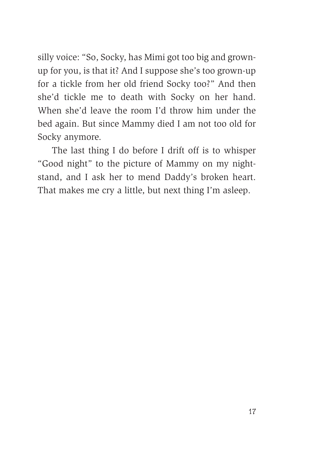silly voice: "So, Socky, has Mimi got too big and grownup for you, is that it? And I suppose she's too grown-up for a tickle from her old friend Socky too?" And then she'd tickle me to death with Socky on her hand. When she'd leave the room I'd throw him under the bed again. But since Mammy died I am not too old for Socky anymore.

The last thing I do before I drift off is to whisper "Good night" to the picture of Mammy on my nightstand, and I ask her to mend Daddy's broken heart. That makes me cry a little, but next thing I'm asleep.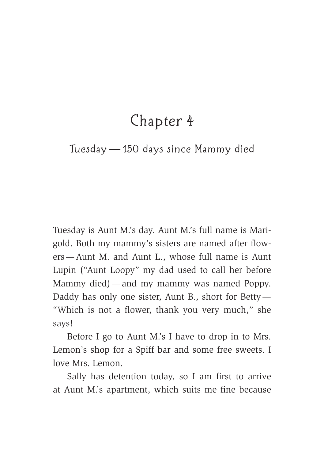### Chapter 4

### Tuesday — 150 days since Mammy died

Tuesday is Aunt M.'s day. Aunt M.'s full name is Marigold. Both my mammy's sisters are named after flowers—Aunt M. and Aunt L., whose full name is Aunt Lupin ("Aunt Loopy" my dad used to call her before Mammy died)—and my mammy was named Poppy. Daddy has only one sister, Aunt B., short for Betty— "Which is not a flower, thank you very much," she says!

Before I go to Aunt M.'s I have to drop in to Mrs. Lemon's shop for a Spiff bar and some free sweets. I love Mrs. Lemon.

Sally has detention today, so I am first to arrive at Aunt M.'s apartment, which suits me fine because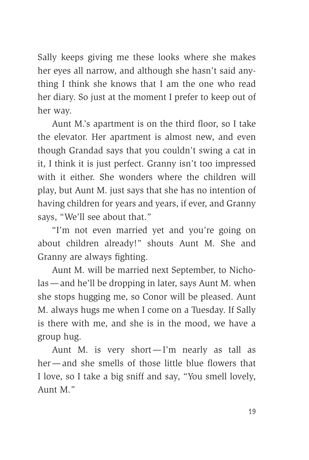Sally keeps giving me these looks where she makes her eyes all narrow, and although she hasn't said anything I think she knows that I am the one who read her diary. So just at the moment I prefer to keep out of her way.

Aunt M.'s apartment is on the third floor, so I take the elevator. Her apartment is almost new, and even though Grandad says that you couldn't swing a cat in it, I think it is just perfect. Granny isn't too impressed with it either. She wonders where the children will play, but Aunt M. just says that she has no intention of having children for years and years, if ever, and Granny says, "We'll see about that."

"I'm not even married yet and you're going on about children already!" shouts Aunt M. She and Granny are always fighting.

Aunt M. will be married next September, to Nicholas—and he'll be dropping in later, says Aunt M. when she stops hugging me, so Conor will be pleased. Aunt M. always hugs me when I come on a Tuesday. If Sally is there with me, and she is in the mood, we have a group hug.

Aunt M. is very short—I'm nearly as tall as her—and she smells of those little blue flowers that I love, so I take a big sniff and say, "You smell lovely, Aunt M."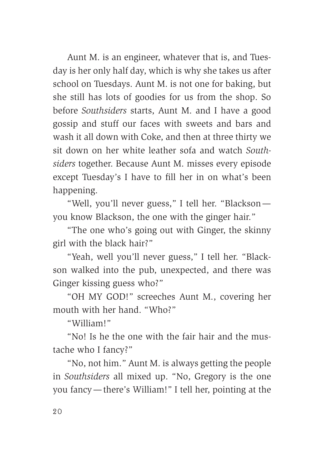Aunt M. is an engineer, whatever that is, and Tuesday is her only half day, which is why she takes us after school on Tuesdays. Aunt M. is not one for baking, but she still has lots of goodies for us from the shop. So before *Southsiders* starts, Aunt M. and I have a good gossip and stuff our faces with sweets and bars and wash it all down with Coke, and then at three thirty we sit down on her white leather sofa and watch *Southsiders* together. Because Aunt M. misses every episode except Tuesday's I have to fill her in on what's been happening.

"Well, you'll never guess," I tell her. "Blackson you know Blackson, the one with the ginger hair."

"The one who's going out with Ginger, the skinny girl with the black hair?"

"Yeah, well you'll never guess," I tell her. "Blackson walked into the pub, unexpected, and there was Ginger kissing guess who?"

"OH MY GOD!" screeches Aunt M., covering her mouth with her hand. "Who?"

"William!"

"No! Is he the one with the fair hair and the mustache who I fancy?"

"No, not him." Aunt M. is always getting the people in *Southsiders* all mixed up. "No, Gregory is the one you fancy—there's William!" I tell her, pointing at the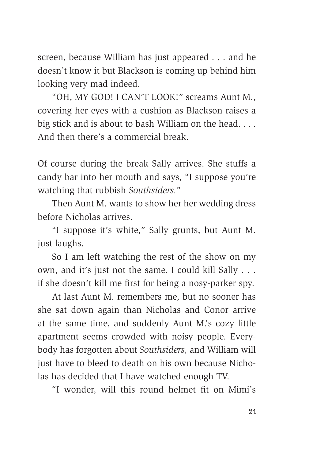screen, because William has just appeared . . . and he doesn't know it but Blackson is coming up behind him looking very mad indeed.

"OH, MY GOD! I CAN'T LOOK!" screams Aunt M., covering her eyes with a cushion as Blackson raises a big stick and is about to bash William on the head. . . . And then there's a commercial break.

Of course during the break Sally arrives. She stuffs a candy bar into her mouth and says, "I suppose you're watching that rubbish *Southsiders.*"

Then Aunt M. wants to show her her wedding dress before Nicholas arrives.

"I suppose it's white," Sally grunts, but Aunt M. just laughs.

So I am left watching the rest of the show on my own, and it's just not the same. I could kill Sally . . . if she doesn't kill me first for being a nosy-parker spy.

At last Aunt M. remembers me, but no sooner has she sat down again than Nicholas and Conor arrive at the same time, and suddenly Aunt M.'s cozy little apartment seems crowded with noisy people. Everybody has forgotten about *Southsiders,* and William will just have to bleed to death on his own because Nicholas has decided that I have watched enough TV.

"I wonder, will this round helmet fit on Mimi's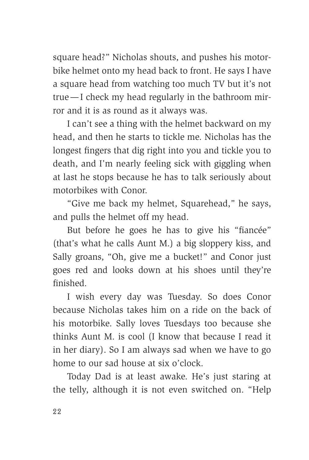square head?" Nicholas shouts, and pushes his motorbike helmet onto my head back to front. He says I have a square head from watching too much TV but it's not true—I check my head regularly in the bathroom mirror and it is as round as it always was.

I can't see a thing with the helmet backward on my head, and then he starts to tickle me. Nicholas has the longest fingers that dig right into you and tickle you to death, and I'm nearly feeling sick with giggling when at last he stops because he has to talk seriously about motorbikes with Conor.

"Give me back my helmet, Squarehead," he says, and pulls the helmet off my head.

But before he goes he has to give his "fiancée" (that's what he calls Aunt M.) a big sloppery kiss, and Sally groans, "Oh, give me a bucket!" and Conor just goes red and looks down at his shoes until they're finished.

I wish every day was Tuesday. So does Conor because Nicholas takes him on a ride on the back of his motorbike. Sally loves Tuesdays too because she thinks Aunt M. is cool (I know that because I read it in her diary). So I am always sad when we have to go home to our sad house at six o'clock.

Today Dad is at least awake. He's just staring at the telly, although it is not even switched on. "Help